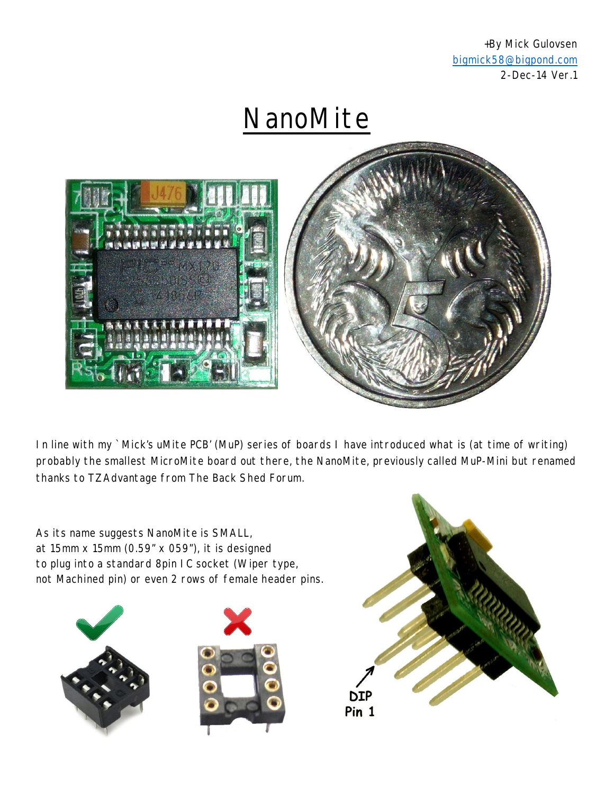+By Mick Gulovsen bigmick58@bigpond.com 2-Dec-14 Ver.1

**NanoMite** 



In line with my `Mick's uMite PCB' (MuP) series of boards I have introduced what is (at time of writing) probably the smallest MicroMite board out there, the NanoMite, previously called MuP-Mini but renamed thanks to TZAdvantage from The Back Shed Forum.

As its name suggests NanoMite is SMALL, at 15mm x 15mm (0.59" x 059"), it is designed to plug into a standard 8pin IC socket (Wiper type, not Machined pin) or even 2 rows of female header pins.





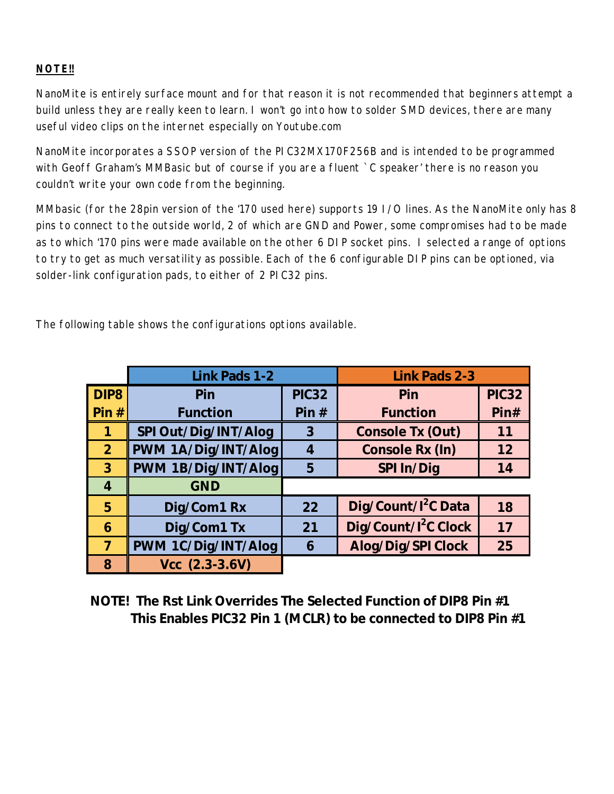#### **NOTE!!**

NanoMite is entirely surface mount and for that reason it is not recommended that beginners attempt a build unless they are really keen to learn. I won't go into how to solder SMD devices, there are many useful video clips on the internet especially on Youtube.com

NanoMite incorporates a SSOP version of the PIC32MX170F256B and is intended to be programmed with Geoff Graham's MMBasic but of course if you are a fluent `C speaker' there is no reason you couldn't write your own code from the beginning.

MMbasic (for the 28pin version of the '170 used here) supports 19 I/O lines. As the NanoMite only has 8 pins to connect to the outside world, 2 of which are GND and Power, some compromises had to be made as to which '170 pins were made available on the other 6 DIP socket pins. I selected a range of options to try to get as much versatility as possible. Each of the 6 configurable DIP pins can be optioned, via solder-link configuration pads, to either of 2 PIC32 pins.

The following table shows the configurations options available.

|                  | <b>Link Pads 1-2</b> |                         | <b>Link Pads 2-3</b>             |              |
|------------------|----------------------|-------------------------|----------------------------------|--------------|
| DIP <sub>8</sub> | Pin                  | <b>PIC32</b>            | Pin                              | <b>PIC32</b> |
| Pin#             | <b>Function</b>      | Pin#                    | <b>Function</b>                  | Pin#         |
| 1                | SPI Out/Dig/INT/Alog | 3                       | <b>Console Tx (Out)</b>          | 11           |
| 2 <sup>1</sup>   | PWM 1A/Dig/INT/Alog  | $\overline{\mathbf{4}}$ | <b>Console Rx (In)</b>           | 12           |
| 3                | PWM 1B/Dig/INT/Alog  | 5                       | <b>SPI In/Dig</b>                | 14           |
| $\overline{4}$   | <b>GND</b>           |                         |                                  |              |
| 5                | Dig/Com1 Rx          | 22                      | Dig/Count/I <sup>2</sup> C Data  | 18           |
| 6                | Dig/Com1 Tx          | 21                      | Dig/Count/I <sup>2</sup> C Clock | 17           |
| $\overline{7}$   | PWM 1C/Dig/INT/Alog  | 6                       | <b>Alog/Dig/SPI Clock</b>        | 25           |
| 8                | $Vec(2.3-3.6V)$      |                         |                                  |              |

**NOTE! The Rst Link Overrides The Selected Function of DIP8 Pin #1 This Enables PIC32 Pin 1 (MCLR) to be connected to DIP8 Pin #1**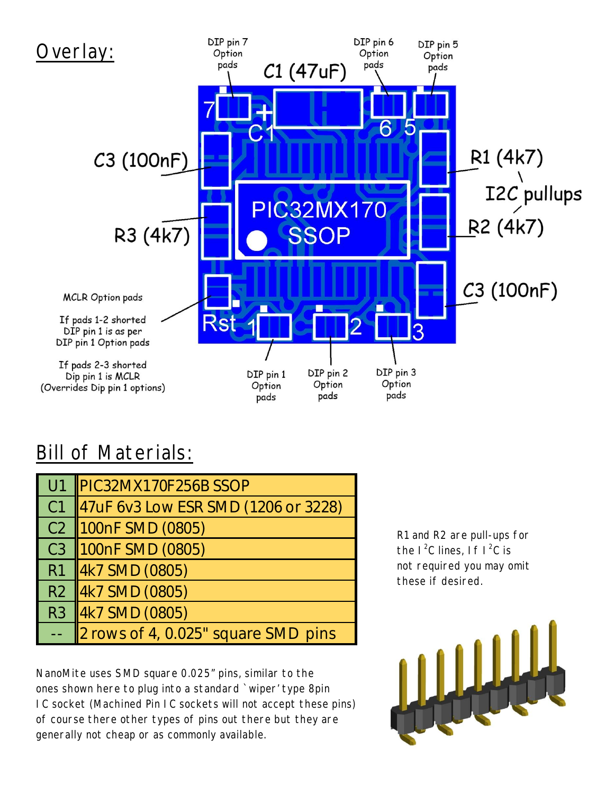

#### **Bill of Materials:**

| U1             | PIC32MX170F256B SSOP                      |  |
|----------------|-------------------------------------------|--|
| C <sub>1</sub> | 47uF 6v3 Low ESR SMD (1206 or 3228)       |  |
| C2             | 100nF SMD (0805)                          |  |
| C <sub>3</sub> | 100nF SMD (0805)                          |  |
| l R1           | 4k7 SMD (0805)                            |  |
|                | R <sub>2</sub> 4k <sub>7</sub> SMD (0805) |  |
| R <sub>3</sub> | 4k7 SMD (0805)                            |  |
|                | 2 rows of 4, 0.025" square SMD pins       |  |

NanoMite uses SMD square 0.025" pins, similar to the ones shown here to plug into a standard `wiper' type 8pin IC socket (Machined Pin IC sockets will not accept these pins) of course there other types of pins out there but they are generally not cheap or as commonly available.

R1 and R2 are pull-ups for the  $1^2C$  lines, If  $1^2C$  is not required you may omit these if desired.

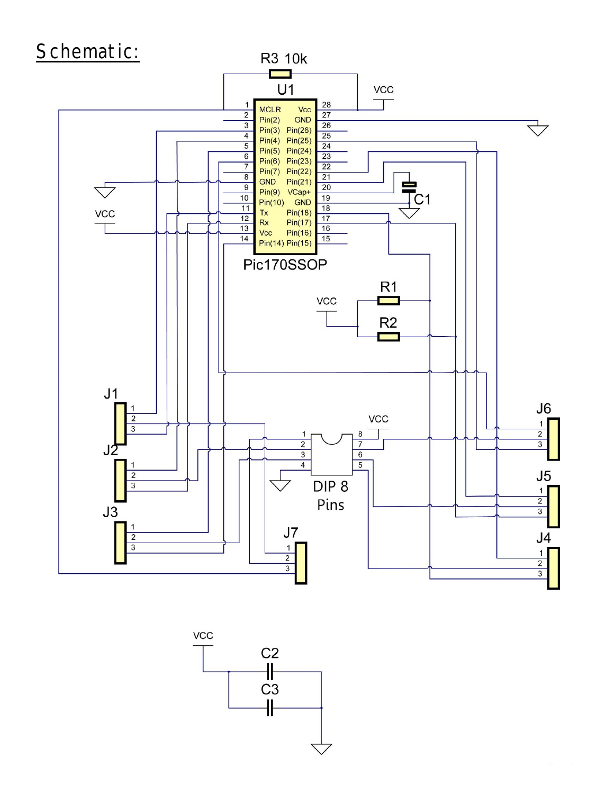

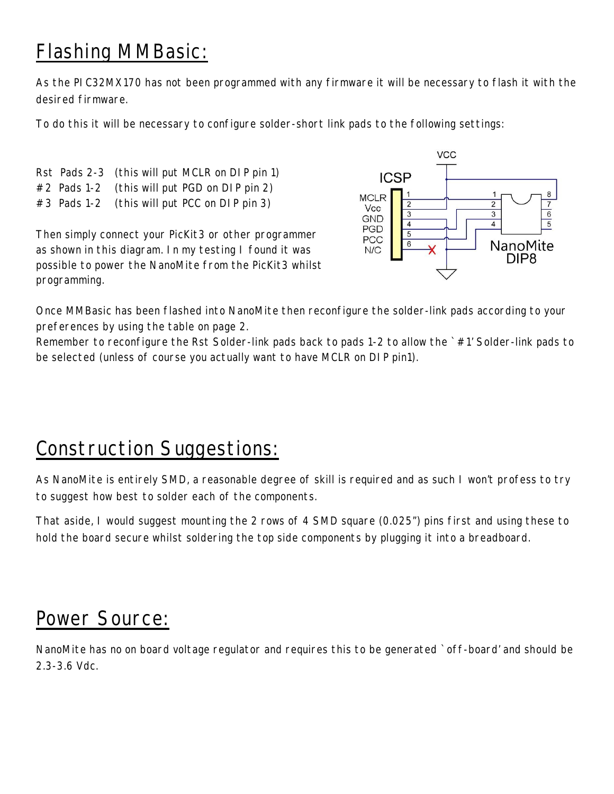# Flashing MMBasic:

As the PIC32MX170 has not been programmed with any firmware it will be necessary to flash it with the desired firmware.

To do this it will be necessary to configure solder-short link pads to the following settings:

Rst Pads 2-3 (this will put MCLR on DIP pin 1)

#2 Pads 1-2 (this will put PGD on DIP pin 2)

#3 Pads 1-2 (this will put PCC on DIP pin 3)

Then simply connect your PicKit3 or other programmer as shown in this diagram. In my testing I found it was possible to power the NanoMite from the PicKit3 whilst programming.



Once MMBasic has been flashed into NanoMite then reconfigure the solder-link pads according to your preferences by using the table on page 2.

Remember to reconfigure the Rst Solder-link pads back to pads 1-2 to allow the `#1' Solder-link pads to be selected (unless of course you actually want to have MCLR on DIP pin1).

## Construction Suggestions:

As NanoMite is entirely SMD, a reasonable degree of skill is required and as such I won't profess to try to suggest how best to solder each of the components.

That aside, I would suggest mounting the 2 rows of 4 SMD square (0.025") pins first and using these to hold the board secure whilst soldering the top side components by plugging it into a breadboard.

### Power Source:

NanoMite has no on board voltage regulator and requires this to be generated `off-board' and should be 2.3-3.6 Vdc.